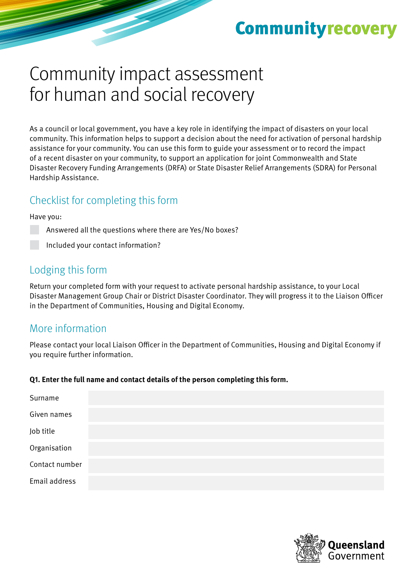# **Community recovery**

# Community impact assessment for human and social recovery

As a council or local government, you have a key role in identifying the impact of disasters on your local community. This information helps to support a decision about the need for activation of personal hardship assistance for your community. You can use this form to guide your assessment or to record the impact of a recent disaster on your community, to support an application for joint Commonwealth and State Disaster Recovery Funding Arrangements (DRFA) or State Disaster Relief Arrangements (SDRA) for Personal Hardship Assistance.

## Checklist for completing this form

#### Have you:

Answered all the questions where there are Yes/No boxes?

Included your contact information?

## Lodging this form

Return your completed form with your request to activate personal hardship assistance, to your Local Disaster Management Group Chair or District Disaster Coordinator. They will progress it to the Liaison Officer in the Department of Communities, Housing and Digital Economy.

## More information

Please contact your local Liaison Officer in the Department of Communities, Housing and Digital Economy if you require further information.

#### **Q1. Enter the full name and contact details of the person completing this form.**

| Surname        |  |  |  |
|----------------|--|--|--|
| Given names    |  |  |  |
| Job title      |  |  |  |
| Organisation   |  |  |  |
| Contact number |  |  |  |
| Email address  |  |  |  |

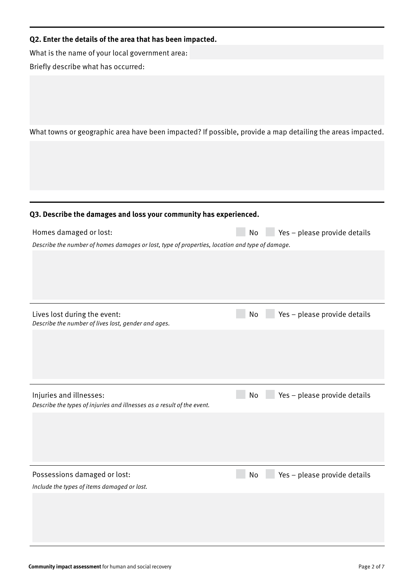#### **Q2. Enter the details of the area that has been impacted.**

What is the name of your local government area: Briefly describe what has occurred:

What towns or geographic area have been impacted? If possible, provide a map detailing the areas impacted.

#### **Q3. Describe the damages and loss your community has experienced.**

| Homes damaged or lost:                                                                         | No l | $Yes - please provide details$ |  |
|------------------------------------------------------------------------------------------------|------|--------------------------------|--|
| Describe the number of homes damages or lost, type of properties, location and type of damage. |      |                                |  |
|                                                                                                |      |                                |  |

| Lives lost during the event:<br>Describe the number of lives lost, gender and ages.               | Yes - please provide details<br>No |
|---------------------------------------------------------------------------------------------------|------------------------------------|
|                                                                                                   |                                    |
|                                                                                                   |                                    |
|                                                                                                   |                                    |
| Injuries and illnesses:<br>Describe the types of injuries and illnesses as a result of the event. | Yes - please provide details<br>No |
|                                                                                                   |                                    |
|                                                                                                   |                                    |
|                                                                                                   |                                    |
|                                                                                                   |                                    |
| Possessions damaged or lost:                                                                      | Yes - please provide details<br>No |
| Include the types of items damaged or lost.                                                       |                                    |
|                                                                                                   |                                    |
|                                                                                                   |                                    |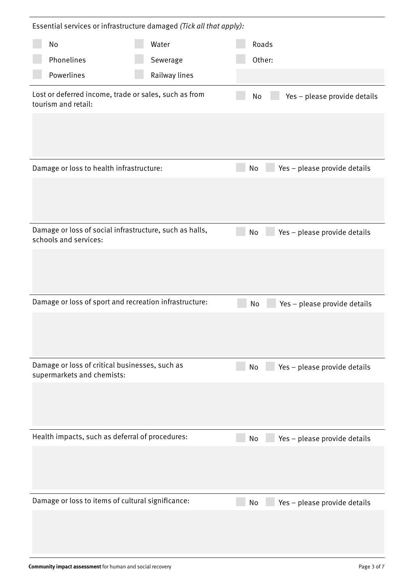| Essential services or infrastructure damaged (Tick all that apply):              |               |  |        |                              |
|----------------------------------------------------------------------------------|---------------|--|--------|------------------------------|
| No                                                                               | Water         |  | Roads  |                              |
| Phonelines                                                                       | Sewerage      |  | Other: |                              |
| Powerlines                                                                       | Railway lines |  |        |                              |
| Lost or deferred income, trade or sales, such as from<br>tourism and retail:     |               |  | No     | Yes - please provide details |
|                                                                                  |               |  |        |                              |
| Damage or loss to health infrastructure:                                         |               |  | No     | Yes - please provide details |
|                                                                                  |               |  |        |                              |
| Damage or loss of social infrastructure, such as halls,<br>schools and services: |               |  | No     | Yes - please provide details |
|                                                                                  |               |  |        |                              |
| Damage or loss of sport and recreation infrastructure:                           |               |  | No     | Yes - please provide details |
|                                                                                  |               |  |        |                              |
| Damage or loss of critical businesses, such as<br>supermarkets and chemists:     |               |  | No     | Yes - please provide details |
|                                                                                  |               |  |        |                              |
| Health impacts, such as deferral of procedures:                                  |               |  | No     | Yes - please provide details |
|                                                                                  |               |  |        |                              |
| Damage or loss to items of cultural significance:                                |               |  | No     | Yes - please provide details |
|                                                                                  |               |  |        |                              |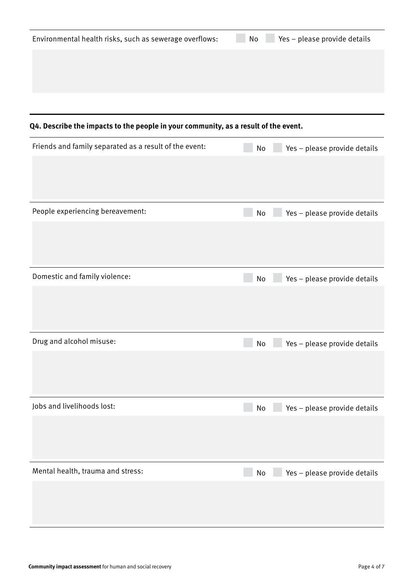### **Q4. Describe the impacts to the people in your community, as a result of the event.**

| Friends and family separated as a result of the event: | Yes - please provide details<br>No |
|--------------------------------------------------------|------------------------------------|
|                                                        |                                    |
| People experiencing bereavement:                       | Yes - please provide details<br>No |
|                                                        |                                    |
| Domestic and family violence:                          | Yes - please provide details<br>No |
|                                                        |                                    |
| Drug and alcohol misuse:                               | Yes - please provide details<br>No |
|                                                        |                                    |
| Jobs and livelihoods lost:                             | Yes - please provide details<br>No |
|                                                        |                                    |
| Mental health, trauma and stress:                      | Yes - please provide details<br>No |
|                                                        |                                    |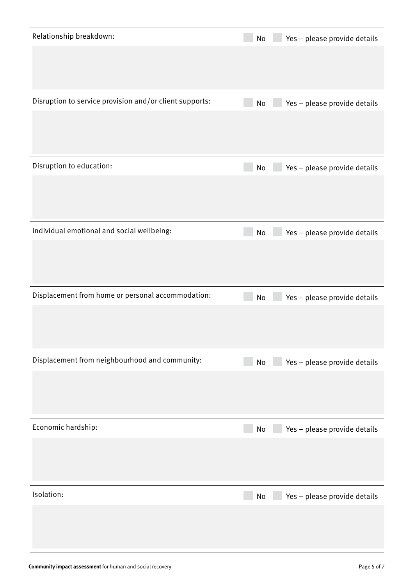| Relationship breakdown:                                 | Yes - please provide details<br>No                           |
|---------------------------------------------------------|--------------------------------------------------------------|
| Disruption to service provision and/or client supports: | Yes - please provide details<br>No                           |
| Disruption to education:                                | Yes - please provide details<br>No                           |
| Individual emotional and social wellbeing:              | Yes - please provide details<br>No                           |
| Displacement from home or personal accommodation:       | Yes - please provide details<br>No                           |
| Displacement from neighbourhood and community:          | Yes - please provide details<br>$\operatorname{\mathsf{No}}$ |
| Economic hardship:                                      | Yes - please provide details<br>$\operatorname{\mathsf{No}}$ |
| Isolation:                                              | Yes - please provide details<br>No                           |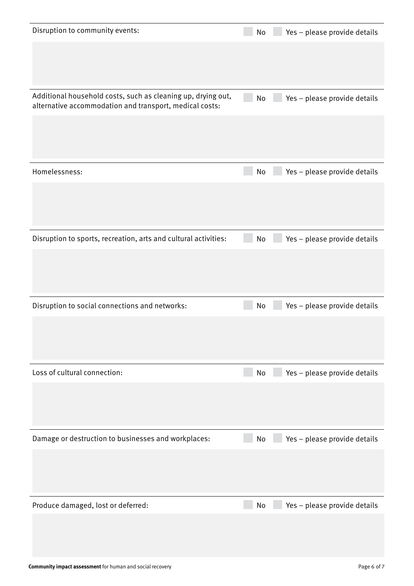| Disruption to community events:                                                                                         | Yes - please provide details<br>No |
|-------------------------------------------------------------------------------------------------------------------------|------------------------------------|
|                                                                                                                         |                                    |
|                                                                                                                         |                                    |
| Additional household costs, such as cleaning up, drying out,<br>alternative accommodation and transport, medical costs: | Yes - please provide details<br>No |
|                                                                                                                         |                                    |
| Homelessness:                                                                                                           | Yes - please provide details<br>No |
|                                                                                                                         |                                    |
| Disruption to sports, recreation, arts and cultural activities:                                                         | Yes - please provide details<br>No |
|                                                                                                                         |                                    |
|                                                                                                                         |                                    |
| Disruption to social connections and networks:                                                                          | Yes - please provide details<br>No |
|                                                                                                                         |                                    |
| Loss of cultural connection:                                                                                            | Yes - please provide details<br>No |
|                                                                                                                         |                                    |
| Damage or destruction to businesses and workplaces:                                                                     | Yes - please provide details<br>No |
|                                                                                                                         |                                    |
| Produce damaged, lost or deferred:                                                                                      | Yes - please provide details<br>No |
|                                                                                                                         |                                    |